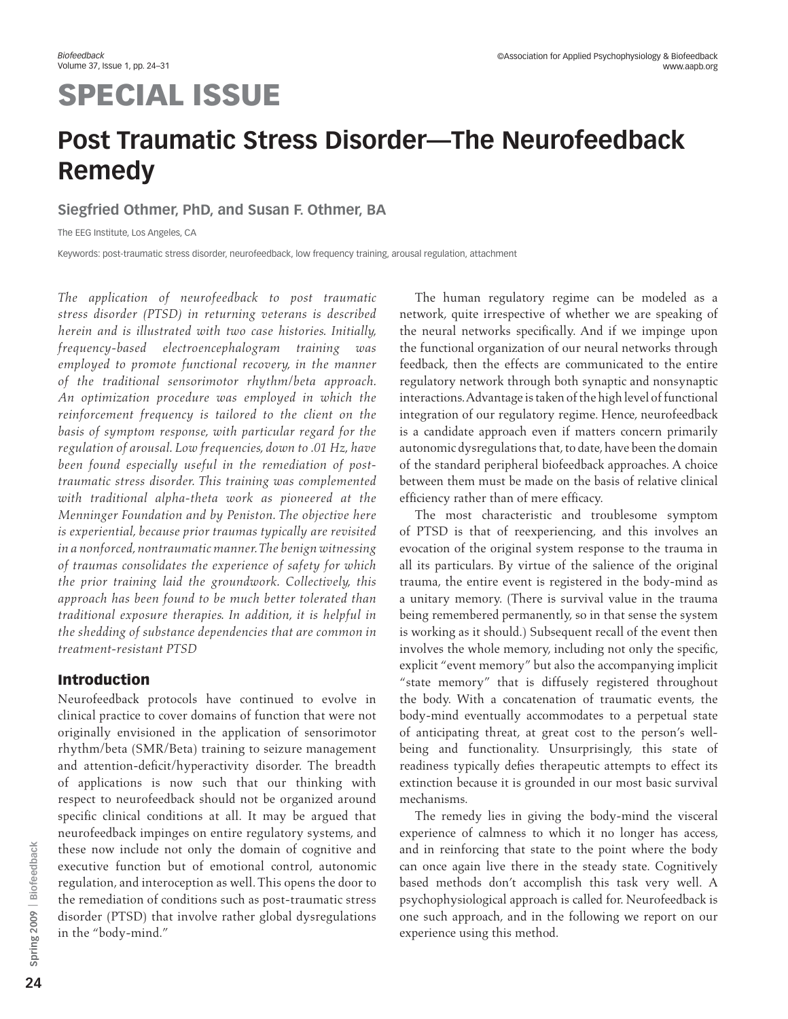# SPECIAL ISSUE

# **Post Traumatic Stress Disorder—The Neurofeedback Remedy**

### **Siegfried Othmer, PhD, and Susan F. Othmer, BA**

The EEG Institute, Los Angeles, CA

Keywords: post-traumatic stress disorder, neurofeedback, low frequency training, arousal regulation, attachment

*The application of neurofeedback to post traumatic stress disorder (PTSD) in returning veterans is described herein and is illustrated with two case histories. Initially, frequency-based electroencephalogram training was employed to promote functional recovery, in the manner of the traditional sensorimotor rhythm/beta approach. An optimization procedure was employed in which the reinforcement frequency is tailored to the client on the basis of symptom response, with particular regard for the regulation of arousal. Low frequencies, down to .01 Hz, have been found especially useful in the remediation of posttraumatic stress disorder. This training was complemented with traditional alpha-theta work as pioneered at the Menninger Foundation and by Peniston. The objective here is experiential, because prior traumas typically are revisited in a nonforced, nontraumatic manner. The benign witnessing of traumas consolidates the experience of safety for which the prior training laid the groundwork. Collectively, this approach has been found to be much better tolerated than traditional exposure therapies. In addition, it is helpful in the shedding of substance dependencies that are common in treatment-resistant PTSD*

## Introduction

Neurofeedback protocols have continued to evolve in clinical practice to cover domains of function that were not originally envisioned in the application of sensorimotor rhythm/beta (SMR/Beta) training to seizure management and attention-deficit/hyperactivity disorder. The breadth of applications is now such that our thinking with respect to neurofeedback should not be organized around specific clinical conditions at all. It may be argued that neurofeedback impinges on entire regulatory systems, and these now include not only the domain of cognitive and executive function but of emotional control, autonomic regulation, and interoception as well. This opens the door to the remediation of conditions such as post-traumatic stress disorder (PTSD) that involve rather global dysregulations in the "body-mind."

The human regulatory regime can be modeled as a network, quite irrespective of whether we are speaking of the neural networks specifically. And if we impinge upon the functional organization of our neural networks through feedback, then the effects are communicated to the entire regulatory network through both synaptic and nonsynaptic interactions. Advantage is taken of the high level of functional integration of our regulatory regime. Hence, neurofeedback is a candidate approach even if matters concern primarily autonomic dysregulations that, to date, have been the domain of the standard peripheral biofeedback approaches. A choice between them must be made on the basis of relative clinical efficiency rather than of mere efficacy.

The most characteristic and troublesome symptom of PTSD is that of reexperiencing, and this involves an evocation of the original system response to the trauma in all its particulars. By virtue of the salience of the original trauma, the entire event is registered in the body-mind as a unitary memory. (There is survival value in the trauma being remembered permanently, so in that sense the system is working as it should.) Subsequent recall of the event then involves the whole memory, including not only the specific, explicit "event memory" but also the accompanying implicit "state memory" that is diffusely registered throughout the body. With a concatenation of traumatic events, the body-mind eventually accommodates to a perpetual state of anticipating threat, at great cost to the person's wellbeing and functionality. Unsurprisingly, this state of readiness typically defies therapeutic attempts to effect its extinction because it is grounded in our most basic survival mechanisms.

The remedy lies in giving the body-mind the visceral experience of calmness to which it no longer has access, and in reinforcing that state to the point where the body can once again live there in the steady state. Cognitively based methods don't accomplish this task very well. A psychophysiological approach is called for. Neurofeedback is one such approach, and in the following we report on our experience using this method.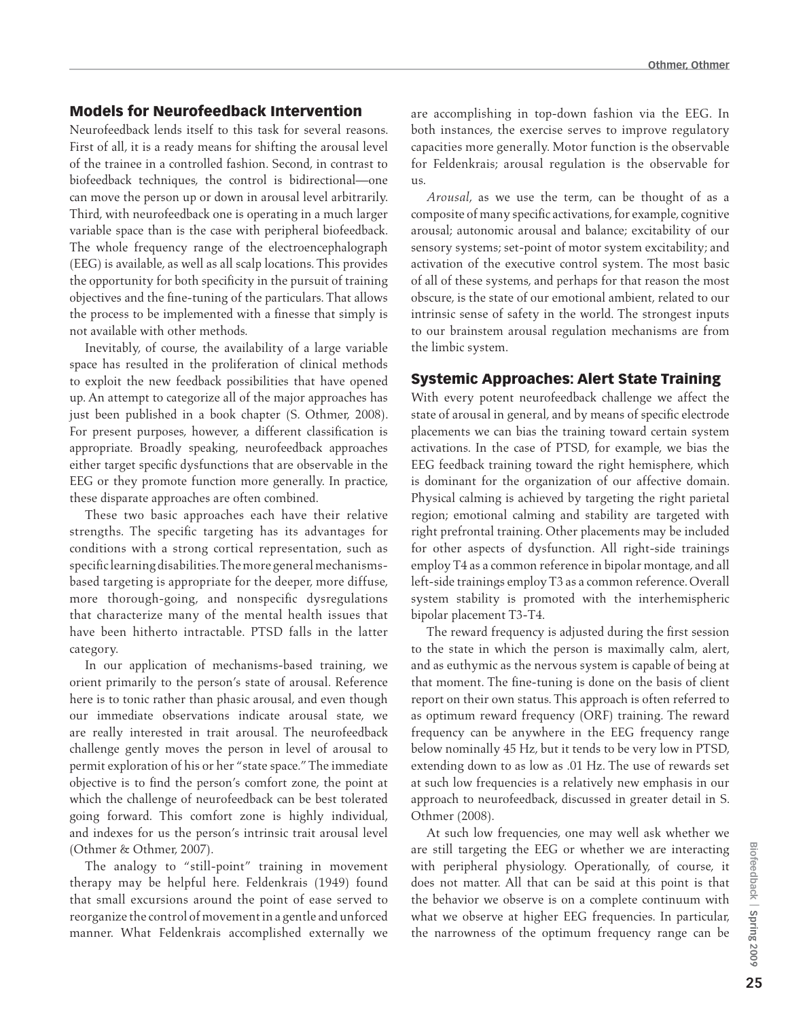#### Models for Neurofeedback Intervention

Neurofeedback lends itself to this task for several reasons. First of all, it is a ready means for shifting the arousal level of the trainee in a controlled fashion. Second, in contrast to biofeedback techniques, the control is bidirectional—one can move the person up or down in arousal level arbitrarily. Third, with neurofeedback one is operating in a much larger variable space than is the case with peripheral biofeedback. The whole frequency range of the electroencephalograph (EEG) is available, as well as all scalp locations. This provides the opportunity for both specificity in the pursuit of training objectives and the fine-tuning of the particulars. That allows the process to be implemented with a finesse that simply is not available with other methods.

Inevitably, of course, the availability of a large variable space has resulted in the proliferation of clinical methods to exploit the new feedback possibilities that have opened up. An attempt to categorize all of the major approaches has just been published in a book chapter (S. Othmer, 2008). For present purposes, however, a different classification is appropriate. Broadly speaking, neurofeedback approaches either target specific dysfunctions that are observable in the EEG or they promote function more generally. In practice, these disparate approaches are often combined.

These two basic approaches each have their relative strengths. The specific targeting has its advantages for conditions with a strong cortical representation, such as specific learning disabilities. The more general mechanismsbased targeting is appropriate for the deeper, more diffuse, more thorough-going, and nonspecific dysregulations that characterize many of the mental health issues that have been hitherto intractable. PTSD falls in the latter category.

In our application of mechanisms-based training, we orient primarily to the person's state of arousal. Reference here is to tonic rather than phasic arousal, and even though our immediate observations indicate arousal state, we are really interested in trait arousal. The neurofeedback challenge gently moves the person in level of arousal to permit exploration of his or her "state space." The immediate objective is to find the person's comfort zone, the point at which the challenge of neurofeedback can be best tolerated going forward. This comfort zone is highly individual, and indexes for us the person's intrinsic trait arousal level (Othmer & Othmer, 2007).

The analogy to "still-point" training in movement therapy may be helpful here. Feldenkrais (1949) found that small excursions around the point of ease served to reorganize the control of movement in a gentle and unforced manner. What Feldenkrais accomplished externally we are accomplishing in top-down fashion via the EEG. In both instances, the exercise serves to improve regulatory capacities more generally. Motor function is the observable for Feldenkrais; arousal regulation is the observable for us.

*Arousal*, as we use the term, can be thought of as a composite of many specific activations, for example, cognitive arousal; autonomic arousal and balance; excitability of our sensory systems; set-point of motor system excitability; and activation of the executive control system. The most basic of all of these systems, and perhaps for that reason the most obscure, is the state of our emotional ambient, related to our intrinsic sense of safety in the world. The strongest inputs to our brainstem arousal regulation mechanisms are from the limbic system.

#### Systemic Approaches: Alert State Training

With every potent neurofeedback challenge we affect the state of arousal in general, and by means of specific electrode placements we can bias the training toward certain system activations. In the case of PTSD, for example, we bias the EEG feedback training toward the right hemisphere, which is dominant for the organization of our affective domain. Physical calming is achieved by targeting the right parietal region; emotional calming and stability are targeted with right prefrontal training. Other placements may be included for other aspects of dysfunction. All right-side trainings employ T4 as a common reference in bipolar montage, and all left-side trainings employ T3 as a common reference. Overall system stability is promoted with the interhemispheric bipolar placement T3-T4.

The reward frequency is adjusted during the first session to the state in which the person is maximally calm, alert, and as euthymic as the nervous system is capable of being at that moment. The fine-tuning is done on the basis of client report on their own status. This approach is often referred to as optimum reward frequency (ORF) training. The reward frequency can be anywhere in the EEG frequency range below nominally 45 Hz, but it tends to be very low in PTSD, extending down to as low as .01 Hz. The use of rewards set at such low frequencies is a relatively new emphasis in our approach to neurofeedback, discussed in greater detail in S. Othmer (2008).

At such low frequencies, one may well ask whether we are still targeting the EEG or whether we are interacting with peripheral physiology. Operationally, of course, it does not matter. All that can be said at this point is that the behavior we observe is on a complete continuum with what we observe at higher EEG frequencies. In particular, the narrowness of the optimum frequency range can be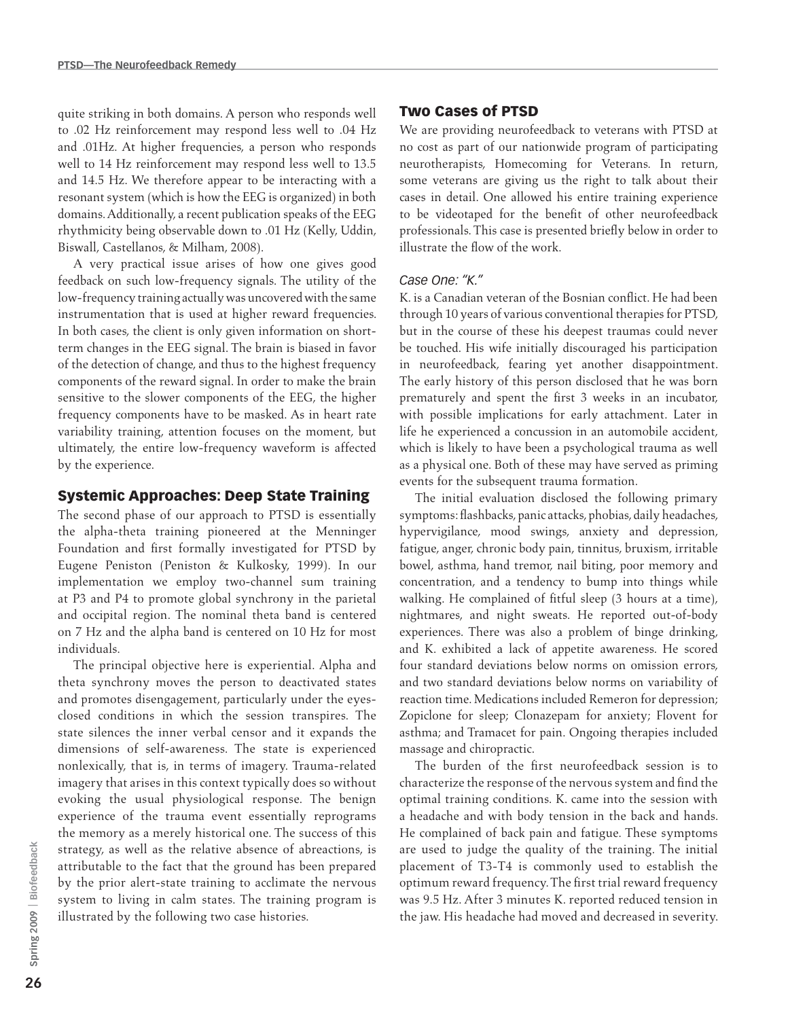quite striking in both domains. A person who responds well to .02 Hz reinforcement may respond less well to .04 Hz and .01Hz. At higher frequencies, a person who responds well to 14 Hz reinforcement may respond less well to 13.5 and 14.5 Hz. We therefore appear to be interacting with a resonant system (which is how the EEG is organized) in both domains. Additionally, a recent publication speaks of the EEG rhythmicity being observable down to .01 Hz (Kelly, Uddin, Biswall, Castellanos, & Milham, 2008).

A very practical issue arises of how one gives good feedback on such low-frequency signals. The utility of the low-frequency training actually was uncovered with the same instrumentation that is used at higher reward frequencies. In both cases, the client is only given information on shortterm changes in the EEG signal. The brain is biased in favor of the detection of change, and thus to the highest frequency components of the reward signal. In order to make the brain sensitive to the slower components of the EEG, the higher frequency components have to be masked. As in heart rate variability training, attention focuses on the moment, but ultimately, the entire low-frequency waveform is affected by the experience.

#### Systemic Approaches: Deep State Training

The second phase of our approach to PTSD is essentially the alpha-theta training pioneered at the Menninger Foundation and first formally investigated for PTSD by Eugene Peniston (Peniston & Kulkosky, 1999). In our implementation we employ two-channel sum training at P3 and P4 to promote global synchrony in the parietal and occipital region. The nominal theta band is centered on 7 Hz and the alpha band is centered on 10 Hz for most individuals.

The principal objective here is experiential. Alpha and theta synchrony moves the person to deactivated states and promotes disengagement, particularly under the eyesclosed conditions in which the session transpires. The state silences the inner verbal censor and it expands the dimensions of self-awareness. The state is experienced nonlexically, that is, in terms of imagery. Trauma-related imagery that arises in this context typically does so without evoking the usual physiological response. The benign experience of the trauma event essentially reprograms the memory as a merely historical one. The success of this strategy, as well as the relative absence of abreactions, is attributable to the fact that the ground has been prepared by the prior alert-state training to acclimate the nervous system to living in calm states. The training program is illustrated by the following two case histories.

#### Two Cases of PTSD

We are providing neurofeedback to veterans with PTSD at no cost as part of our nationwide program of participating neurotherapists, Homecoming for Veterans. In return, some veterans are giving us the right to talk about their cases in detail. One allowed his entire training experience to be videotaped for the benefit of other neurofeedback professionals. This case is presented briefly below in order to illustrate the flow of the work.

#### *Case One: "K."*

K. is a Canadian veteran of the Bosnian conflict. He had been through 10 years of various conventional therapies for PTSD, but in the course of these his deepest traumas could never be touched. His wife initially discouraged his participation in neurofeedback, fearing yet another disappointment. The early history of this person disclosed that he was born prematurely and spent the first 3 weeks in an incubator, with possible implications for early attachment. Later in life he experienced a concussion in an automobile accident, which is likely to have been a psychological trauma as well as a physical one. Both of these may have served as priming events for the subsequent trauma formation.

The initial evaluation disclosed the following primary symptoms: flashbacks, panic attacks, phobias, daily headaches, hypervigilance, mood swings, anxiety and depression, fatigue, anger, chronic body pain, tinnitus, bruxism, irritable bowel, asthma, hand tremor, nail biting, poor memory and concentration, and a tendency to bump into things while walking. He complained of fitful sleep (3 hours at a time), nightmares, and night sweats. He reported out-of-body experiences. There was also a problem of binge drinking, and K. exhibited a lack of appetite awareness. He scored four standard deviations below norms on omission errors, and two standard deviations below norms on variability of reaction time. Medications included Remeron for depression; Zopiclone for sleep; Clonazepam for anxiety; Flovent for asthma; and Tramacet for pain. Ongoing therapies included massage and chiropractic.

The burden of the first neurofeedback session is to characterize the response of the nervous system and find the optimal training conditions. K. came into the session with a headache and with body tension in the back and hands. He complained of back pain and fatigue. These symptoms are used to judge the quality of the training. The initial placement of T3-T4 is commonly used to establish the optimum reward frequency. The first trial reward frequency was 9.5 Hz. After 3 minutes K. reported reduced tension in the jaw. His headache had moved and decreased in severity.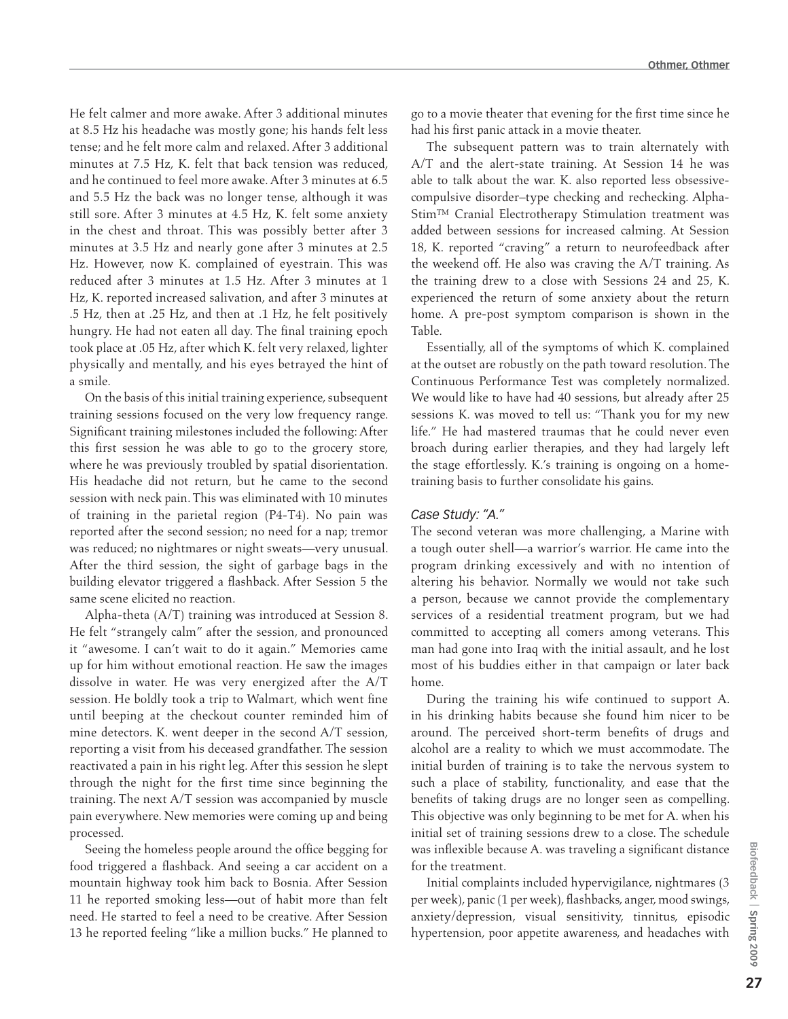He felt calmer and more awake. After 3 additional minutes at 8.5 Hz his headache was mostly gone; his hands felt less tense; and he felt more calm and relaxed. After 3 additional minutes at 7.5 Hz, K. felt that back tension was reduced, and he continued to feel more awake. After 3 minutes at 6.5 and 5.5 Hz the back was no longer tense, although it was still sore. After 3 minutes at 4.5 Hz, K. felt some anxiety in the chest and throat. This was possibly better after 3 minutes at 3.5 Hz and nearly gone after 3 minutes at 2.5 Hz. However, now K. complained of eyestrain. This was reduced after 3 minutes at 1.5 Hz. After 3 minutes at 1 Hz, K. reported increased salivation, and after 3 minutes at .5 Hz, then at .25 Hz, and then at .1 Hz, he felt positively hungry. He had not eaten all day. The final training epoch took place at .05 Hz, after which K. felt very relaxed, lighter physically and mentally, and his eyes betrayed the hint of a smile.

On the basis of this initial training experience, subsequent training sessions focused on the very low frequency range. Significant training milestones included the following: After this first session he was able to go to the grocery store, where he was previously troubled by spatial disorientation. His headache did not return, but he came to the second session with neck pain. This was eliminated with 10 minutes of training in the parietal region (P4-T4). No pain was reported after the second session; no need for a nap; tremor was reduced; no nightmares or night sweats—very unusual. After the third session, the sight of garbage bags in the building elevator triggered a flashback. After Session 5 the same scene elicited no reaction.

Alpha-theta (A/T) training was introduced at Session 8. He felt "strangely calm" after the session, and pronounced it "awesome. I can't wait to do it again." Memories came up for him without emotional reaction. He saw the images dissolve in water. He was very energized after the A/T session. He boldly took a trip to Walmart, which went fine until beeping at the checkout counter reminded him of mine detectors. K. went deeper in the second A/T session, reporting a visit from his deceased grandfather. The session reactivated a pain in his right leg. After this session he slept through the night for the first time since beginning the training. The next A/T session was accompanied by muscle pain everywhere. New memories were coming up and being processed.

Seeing the homeless people around the office begging for food triggered a flashback. And seeing a car accident on a mountain highway took him back to Bosnia. After Session 11 he reported smoking less—out of habit more than felt need. He started to feel a need to be creative. After Session 13 he reported feeling "like a million bucks." He planned to

go to a movie theater that evening for the first time since he had his first panic attack in a movie theater.

The subsequent pattern was to train alternately with A/T and the alert-state training. At Session 14 he was able to talk about the war. K. also reported less obsessivecompulsive disorder–type checking and rechecking. Alpha-Stim™ Cranial Electrotherapy Stimulation treatment was added between sessions for increased calming. At Session 18, K. reported "craving" a return to neurofeedback after the weekend off. He also was craving the A/T training. As the training drew to a close with Sessions 24 and 25, K. experienced the return of some anxiety about the return home. A pre-post symptom comparison is shown in the Table.

Essentially, all of the symptoms of which K. complained at the outset are robustly on the path toward resolution. The Continuous Performance Test was completely normalized. We would like to have had 40 sessions, but already after 25 sessions K. was moved to tell us: "Thank you for my new life." He had mastered traumas that he could never even broach during earlier therapies, and they had largely left the stage effortlessly. K.'s training is ongoing on a hometraining basis to further consolidate his gains.

#### *Case Study: "A."*

The second veteran was more challenging, a Marine with a tough outer shell—a warrior's warrior. He came into the program drinking excessively and with no intention of altering his behavior. Normally we would not take such a person, because we cannot provide the complementary services of a residential treatment program, but we had committed to accepting all comers among veterans. This man had gone into Iraq with the initial assault, and he lost most of his buddies either in that campaign or later back home.

During the training his wife continued to support A. in his drinking habits because she found him nicer to be around. The perceived short-term benefits of drugs and alcohol are a reality to which we must accommodate. The initial burden of training is to take the nervous system to such a place of stability, functionality, and ease that the benefits of taking drugs are no longer seen as compelling. This objective was only beginning to be met for A. when his initial set of training sessions drew to a close. The schedule was inflexible because A. was traveling a significant distance for the treatment.

Initial complaints included hypervigilance, nightmares (3 per week), panic (1 per week), flashbacks, anger, mood swings, anxiety/depression, visual sensitivity, tinnitus, episodic hypertension, poor appetite awareness, and headaches with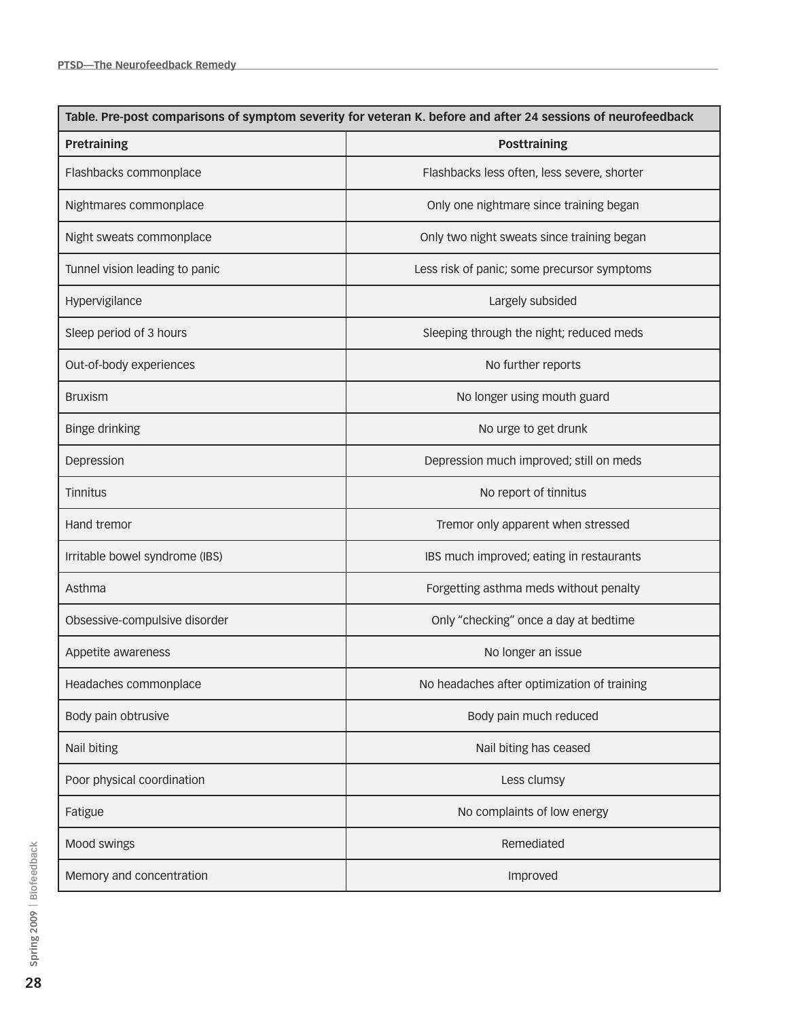| Table. Pre-post comparisons of symptom severity for veteran K. before and after 24 sessions of neurofeedback |                                             |
|--------------------------------------------------------------------------------------------------------------|---------------------------------------------|
| Pretraining                                                                                                  | <b>Posttraining</b>                         |
| Flashbacks commonplace                                                                                       | Flashbacks less often, less severe, shorter |
| Nightmares commonplace                                                                                       | Only one nightmare since training began     |
| Night sweats commonplace                                                                                     | Only two night sweats since training began  |
| Tunnel vision leading to panic                                                                               | Less risk of panic; some precursor symptoms |
| Hypervigilance                                                                                               | Largely subsided                            |
| Sleep period of 3 hours                                                                                      | Sleeping through the night; reduced meds    |
| Out-of-body experiences                                                                                      | No further reports                          |
| <b>Bruxism</b>                                                                                               | No longer using mouth guard                 |
| Binge drinking                                                                                               | No urge to get drunk                        |
| Depression                                                                                                   | Depression much improved; still on meds     |
| Tinnitus                                                                                                     | No report of tinnitus                       |
| Hand tremor                                                                                                  | Tremor only apparent when stressed          |
| Irritable bowel syndrome (IBS)                                                                               | IBS much improved; eating in restaurants    |
| Asthma                                                                                                       | Forgetting asthma meds without penalty      |
| Obsessive-compulsive disorder                                                                                | Only "checking" once a day at bedtime       |
| Appetite awareness                                                                                           | No longer an issue                          |
| Headaches commonplace                                                                                        | No headaches after optimization of training |
| Body pain obtrusive                                                                                          | Body pain much reduced                      |
| Nail biting                                                                                                  | Nail biting has ceased                      |
| Poor physical coordination                                                                                   | Less clumsy                                 |
| Fatigue                                                                                                      | No complaints of low energy                 |
| Mood swings                                                                                                  | Remediated                                  |
| Memory and concentration                                                                                     | Improved                                    |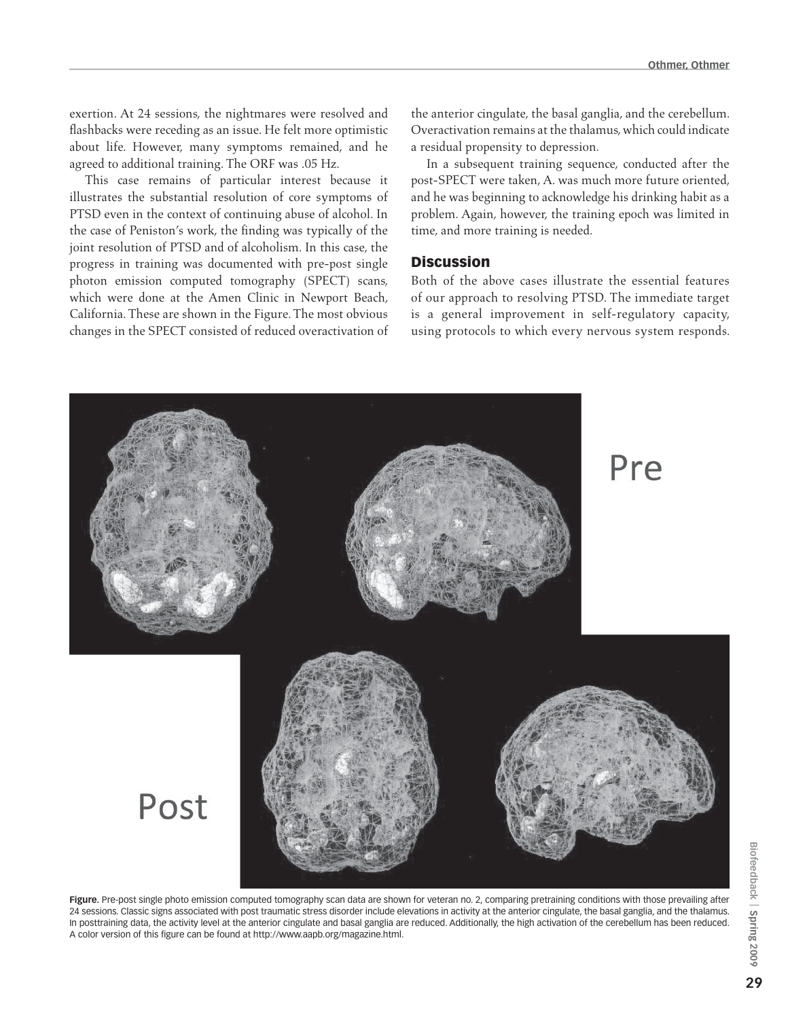exertion. At 24 sessions, the nightmares were resolved and flashbacks were receding as an issue. He felt more optimistic about life. However, many symptoms remained, and he agreed to additional training. The ORF was .05 Hz.

This case remains of particular interest because it illustrates the substantial resolution of core symptoms of PTSD even in the context of continuing abuse of alcohol. In the case of Peniston's work, the finding was typically of the joint resolution of PTSD and of alcoholism. In this case, the progress in training was documented with pre-post single photon emission computed tomography (SPECT) scans, which were done at the Amen Clinic in Newport Beach, California. These are shown in the Figure. The most obvious changes in the SPECT consisted of reduced overactivation of

the anterior cingulate, the basal ganglia, and the cerebellum. Overactivation remains at the thalamus, which could indicate a residual propensity to depression.

In a subsequent training sequence, conducted after the post-SPECT were taken, A. was much more future oriented, and he was beginning to acknowledge his drinking habit as a problem. Again, however, the training epoch was limited in time, and more training is needed.

#### **Discussion**

Both of the above cases illustrate the essential features of our approach to resolving PTSD. The immediate target is a general improvement in self-regulatory capacity, using protocols to which every nervous system responds.



Figure. Pre-post single photo emission computed tomography scan data are shown for veteran no. 2, comparing pretraining conditions with those prevailing after 24 sessions. Classic signs associated with post traumatic stress disorder include elevations in activity at the anterior cingulate, the basal ganglia, and the thalamus. In posttraining data, the activity level at the anterior cingulate and basal ganglia are reduced. Additionally, the high activation of the cerebellum has been reduced. A color version of this figure can be found at http://www.aapb.org/magazine.html.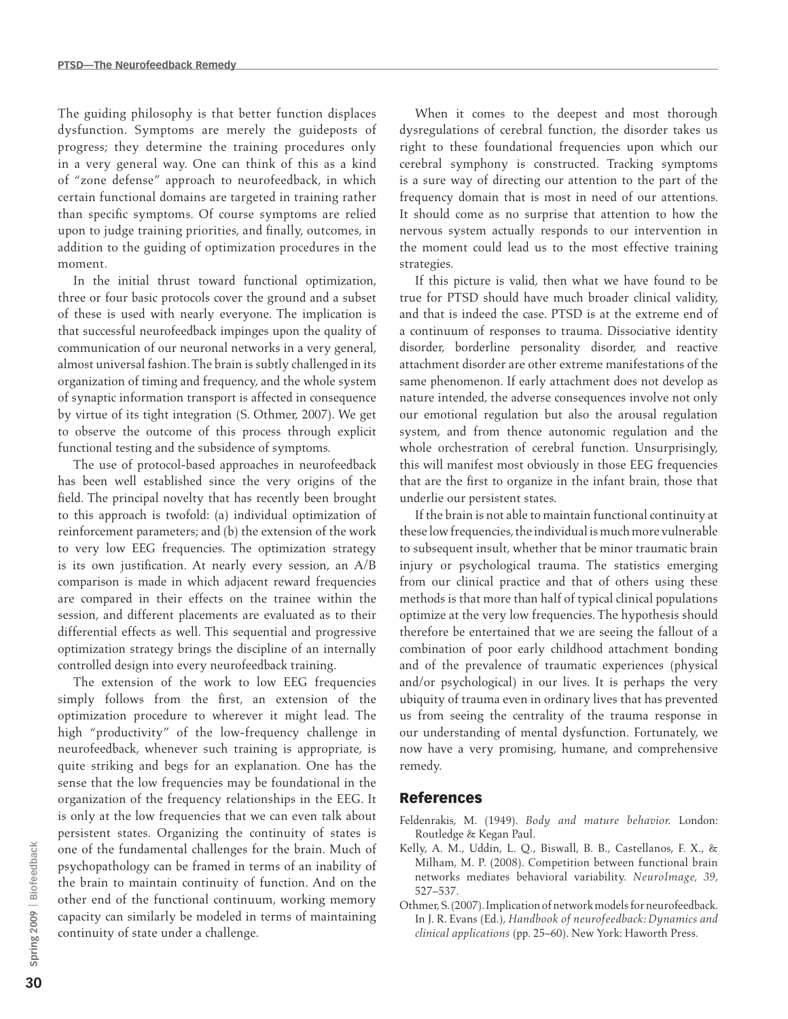The guiding philosophy is that better function displaces dysfunction. Symptoms are merely the guideposts of progress; they determine the training procedures only in a very general way. One can think of this as a kind of "zone defense" approach to neurofeedback, in which certain functional domains are targeted in training rather than specific symptoms. Of course symptoms are relied upon to judge training priorities, and finally, outcomes, in addition to the guiding of optimization procedures in the moment.

In the initial thrust toward functional optimization, three or four basic protocols cover the ground and a subset of these is used with nearly everyone. The implication is that successful neurofeedback impinges upon the quality of communication of our neuronal networks in a very general, almost universal fashion. The brain is subtly challenged in its organization of timing and frequency, and the whole system of synaptic information transport is affected in consequence by virtue of its tight integration (S. Othmer, 2007). We get to observe the outcome of this process through explicit functional testing and the subsidence of symptoms.

The use of protocol-based approaches in neurofeedback has been well established since the very origins of the field. The principal novelty that has recently been brought to this approach is twofold: (a) individual optimization of reinforcement parameters; and (b) the extension of the work to very low EEG frequencies. The optimization strategy is its own justification. At nearly every session, an A/B comparison is made in which adjacent reward frequencies are compared in their effects on the trainee within the session, and different placements are evaluated as to their differential effects as well. This sequential and progressive optimization strategy brings the discipline of an internally controlled design into every neurofeedback training.

The extension of the work to low EEG frequencies simply follows from the first, an extension of the optimization procedure to wherever it might lead. The high "productivity" of the low-frequency challenge in neurofeedback, whenever such training is appropriate, is quite striking and begs for an explanation. One has the sense that the low frequencies may be foundational in the organization of the frequency relationships in the EEG. It is only at the low frequencies that we can even talk about persistent states. Organizing the continuity of states is one of the fundamental challenges for the brain. Much of psychopathology can be framed in terms of an inability of the brain to maintain continuity of function. And on the other end of the functional continuum, working memory capacity can similarly be modeled in terms of maintaining continuity of state under a challenge.

When it comes to the deepest and most thorough dysregulations of cerebral function, the disorder takes us right to these foundational frequencies upon which our cerebral symphony is constructed. Tracking symptoms is a sure way of directing our attention to the part of the frequency domain that is most in need of our attentions. It should come as no surprise that attention to how the nervous system actually responds to our intervention in the moment could lead us to the most effective training strategies.

If this picture is valid, then what we have found to be true for PTSD should have much broader clinical validity, and that is indeed the case. PTSD is at the extreme end of a continuum of responses to trauma. Dissociative identity disorder, borderline personality disorder, and reactive attachment disorder are other extreme manifestations of the same phenomenon. If early attachment does not develop as nature intended, the adverse consequences involve not only our emotional regulation but also the arousal regulation system, and from thence autonomic regulation and the whole orchestration of cerebral function. Unsurprisingly, this will manifest most obviously in those EEG frequencies that are the first to organize in the infant brain, those that underlie our persistent states.

If the brain is not able to maintain functional continuity at these low frequencies, the individual is much more vulnerable to subsequent insult, whether that be minor traumatic brain injury or psychological trauma. The statistics emerging from our clinical practice and that of others using these methods is that more than half of typical clinical populations optimize at the very low frequencies. The hypothesis should therefore be entertained that we are seeing the fallout of a combination of poor early childhood attachment bonding and of the prevalence of traumatic experiences (physical and/or psychological) in our lives. It is perhaps the very ubiquity of trauma even in ordinary lives that has prevented us from seeing the centrality of the trauma response in our understanding of mental dysfunction. Fortunately, we now have a very promising, humane, and comprehensive remedy.

#### References

- Feldenrakis, M. (1949). *Body and mature behavior.* London: Routledge & Kegan Paul.
- Kelly, A. M., Uddin, L. Q., Biswall, B. B., Castellanos, F. X., & Milham, M. P. (2008). Competition between functional brain networks mediates behavioral variability. *NeuroImage, 39*, 527–537.
- Othmer, S. (2007). Implication of network models for neurofeedback. In J. R. Evans (Ed.), *Handbook of neurofeedback: Dynamics and clinical applications* (pp. 25–60). New York: Haworth Press.